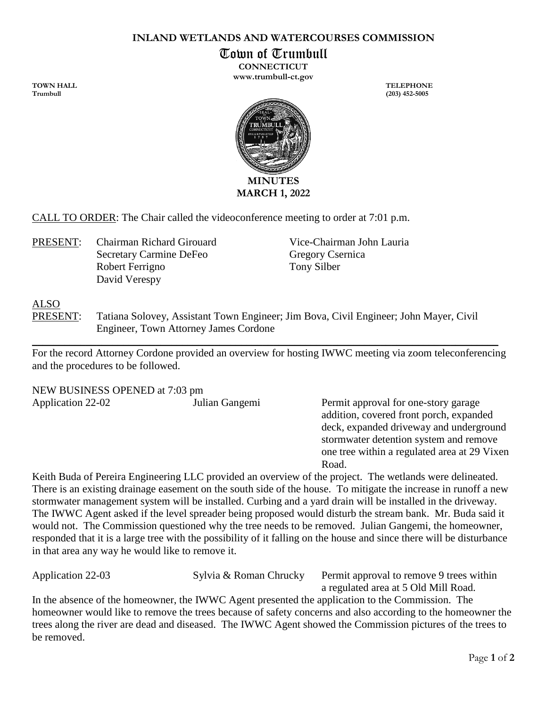#### **INLAND WETLANDS AND WATERCOURSES COMMISSION**

Town of Trumbull

**CONNECTICUT www.trumbull-ct.gov**

**TOWN HALL TELEPHONE Trumbull (203) 452-5005**



CALL TO ORDER: The Chair called the videoconference meeting to order at 7:01 p.m.

PRESENT: Chairman Richard Girouard Vice-Chairman John Lauria Secretary Carmine DeFeo Gregory Csernica Robert Ferrigno Tony Silber David Verespy

## ALSO

PRESENT: Tatiana Solovey, Assistant Town Engineer; Jim Bova, Civil Engineer; John Mayer, Civil Engineer, Town Attorney James Cordone

For the record Attorney Cordone provided an overview for hosting IWWC meeting via zoom teleconferencing and the procedures to be followed.

 $\_$  , and the set of the set of the set of the set of the set of the set of the set of the set of the set of the set of the set of the set of the set of the set of the set of the set of the set of the set of the set of th

NEW BUSINESS OPENED at 7:03 pm Application 22-02 Julian Gangemi Permit approval for one-story garage

addition, covered front porch, expanded deck, expanded driveway and underground stormwater detention system and remove one tree within a regulated area at 29 Vixen Road.

Keith Buda of Pereira Engineering LLC provided an overview of the project. The wetlands were delineated. There is an existing drainage easement on the south side of the house. To mitigate the increase in runoff a new stormwater management system will be installed. Curbing and a yard drain will be installed in the driveway. The IWWC Agent asked if the level spreader being proposed would disturb the stream bank. Mr. Buda said it would not. The Commission questioned why the tree needs to be removed. Julian Gangemi, the homeowner, responded that it is a large tree with the possibility of it falling on the house and since there will be disturbance in that area any way he would like to remove it.

Application 22-03 Sylvia & Roman Chrucky Permit approval to remove 9 trees within a regulated area at 5 Old Mill Road.

In the absence of the homeowner, the IWWC Agent presented the application to the Commission. The homeowner would like to remove the trees because of safety concerns and also according to the homeowner the trees along the river are dead and diseased. The IWWC Agent showed the Commission pictures of the trees to be removed.